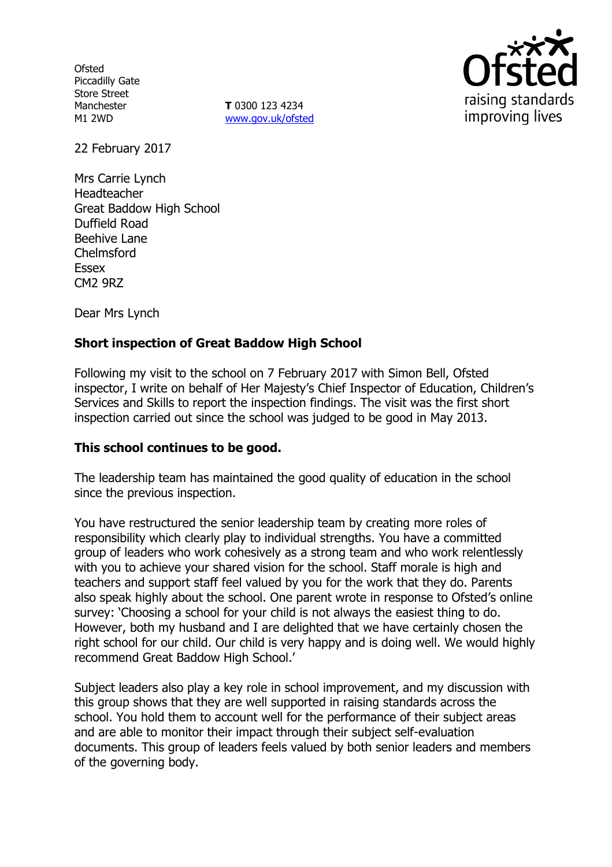**Ofsted** Piccadilly Gate Store Street Manchester M1 2WD

**T** 0300 123 4234 www.gov.uk/ofsted



22 February 2017

Mrs Carrie Lynch Headteacher Great Baddow High School Duffield Road Beehive Lane Chelmsford Essex CM2 9RZ

Dear Mrs Lynch

# **Short inspection of Great Baddow High School**

Following my visit to the school on 7 February 2017 with Simon Bell, Ofsted inspector, I write on behalf of Her Majesty's Chief Inspector of Education, Children's Services and Skills to report the inspection findings. The visit was the first short inspection carried out since the school was judged to be good in May 2013.

### **This school continues to be good.**

The leadership team has maintained the good quality of education in the school since the previous inspection.

You have restructured the senior leadership team by creating more roles of responsibility which clearly play to individual strengths. You have a committed group of leaders who work cohesively as a strong team and who work relentlessly with you to achieve your shared vision for the school. Staff morale is high and teachers and support staff feel valued by you for the work that they do. Parents also speak highly about the school. One parent wrote in response to Ofsted's online survey: 'Choosing a school for your child is not always the easiest thing to do. However, both my husband and I are delighted that we have certainly chosen the right school for our child. Our child is very happy and is doing well. We would highly recommend Great Baddow High School.'

Subject leaders also play a key role in school improvement, and my discussion with this group shows that they are well supported in raising standards across the school. You hold them to account well for the performance of their subject areas and are able to monitor their impact through their subject self-evaluation documents. This group of leaders feels valued by both senior leaders and members of the governing body.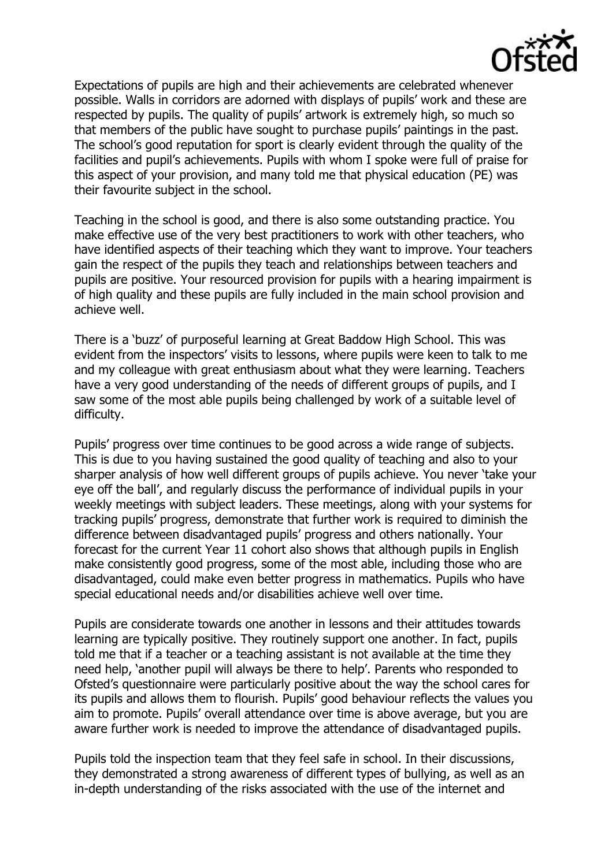

Expectations of pupils are high and their achievements are celebrated whenever possible. Walls in corridors are adorned with displays of pupils' work and these are respected by pupils. The quality of pupils' artwork is extremely high, so much so that members of the public have sought to purchase pupils' paintings in the past. The school's good reputation for sport is clearly evident through the quality of the facilities and pupil's achievements. Pupils with whom I spoke were full of praise for this aspect of your provision, and many told me that physical education (PE) was their favourite subject in the school.

Teaching in the school is good, and there is also some outstanding practice. You make effective use of the very best practitioners to work with other teachers, who have identified aspects of their teaching which they want to improve. Your teachers gain the respect of the pupils they teach and relationships between teachers and pupils are positive. Your resourced provision for pupils with a hearing impairment is of high quality and these pupils are fully included in the main school provision and achieve well.

There is a 'buzz' of purposeful learning at Great Baddow High School. This was evident from the inspectors' visits to lessons, where pupils were keen to talk to me and my colleague with great enthusiasm about what they were learning. Teachers have a very good understanding of the needs of different groups of pupils, and I saw some of the most able pupils being challenged by work of a suitable level of difficulty.

Pupils' progress over time continues to be good across a wide range of subjects. This is due to you having sustained the good quality of teaching and also to your sharper analysis of how well different groups of pupils achieve. You never 'take your eye off the ball', and regularly discuss the performance of individual pupils in your weekly meetings with subject leaders. These meetings, along with your systems for tracking pupils' progress, demonstrate that further work is required to diminish the difference between disadvantaged pupils' progress and others nationally. Your forecast for the current Year 11 cohort also shows that although pupils in English make consistently good progress, some of the most able, including those who are disadvantaged, could make even better progress in mathematics. Pupils who have special educational needs and/or disabilities achieve well over time.

Pupils are considerate towards one another in lessons and their attitudes towards learning are typically positive. They routinely support one another. In fact, pupils told me that if a teacher or a teaching assistant is not available at the time they need help, 'another pupil will always be there to help'. Parents who responded to Ofsted's questionnaire were particularly positive about the way the school cares for its pupils and allows them to flourish. Pupils' good behaviour reflects the values you aim to promote. Pupils' overall attendance over time is above average, but you are aware further work is needed to improve the attendance of disadvantaged pupils.

Pupils told the inspection team that they feel safe in school. In their discussions, they demonstrated a strong awareness of different types of bullying, as well as an in-depth understanding of the risks associated with the use of the internet and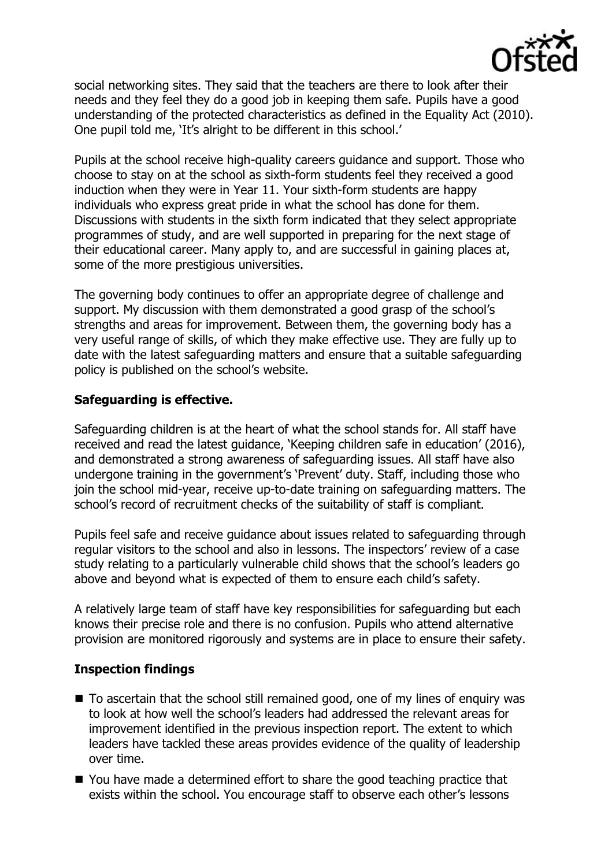

social networking sites. They said that the teachers are there to look after their needs and they feel they do a good job in keeping them safe. Pupils have a good understanding of the protected characteristics as defined in the Equality Act (2010). One pupil told me, 'It's alright to be different in this school.'

Pupils at the school receive high-quality careers guidance and support. Those who choose to stay on at the school as sixth-form students feel they received a good induction when they were in Year 11. Your sixth-form students are happy individuals who express great pride in what the school has done for them. Discussions with students in the sixth form indicated that they select appropriate programmes of study, and are well supported in preparing for the next stage of their educational career. Many apply to, and are successful in gaining places at, some of the more prestigious universities.

The governing body continues to offer an appropriate degree of challenge and support. My discussion with them demonstrated a good grasp of the school's strengths and areas for improvement. Between them, the governing body has a very useful range of skills, of which they make effective use. They are fully up to date with the latest safeguarding matters and ensure that a suitable safeguarding policy is published on the school's website.

# **Safeguarding is effective.**

Safeguarding children is at the heart of what the school stands for. All staff have received and read the latest guidance, 'Keeping children safe in education' (2016), and demonstrated a strong awareness of safeguarding issues. All staff have also undergone training in the government's 'Prevent' duty. Staff, including those who join the school mid-year, receive up-to-date training on safeguarding matters. The school's record of recruitment checks of the suitability of staff is compliant.

Pupils feel safe and receive guidance about issues related to safeguarding through regular visitors to the school and also in lessons. The inspectors' review of a case study relating to a particularly vulnerable child shows that the school's leaders go above and beyond what is expected of them to ensure each child's safety.

A relatively large team of staff have key responsibilities for safeguarding but each knows their precise role and there is no confusion. Pupils who attend alternative provision are monitored rigorously and systems are in place to ensure their safety.

### **Inspection findings**

- To ascertain that the school still remained good, one of my lines of enguiry was to look at how well the school's leaders had addressed the relevant areas for improvement identified in the previous inspection report. The extent to which leaders have tackled these areas provides evidence of the quality of leadership over time.
- You have made a determined effort to share the good teaching practice that exists within the school. You encourage staff to observe each other's lessons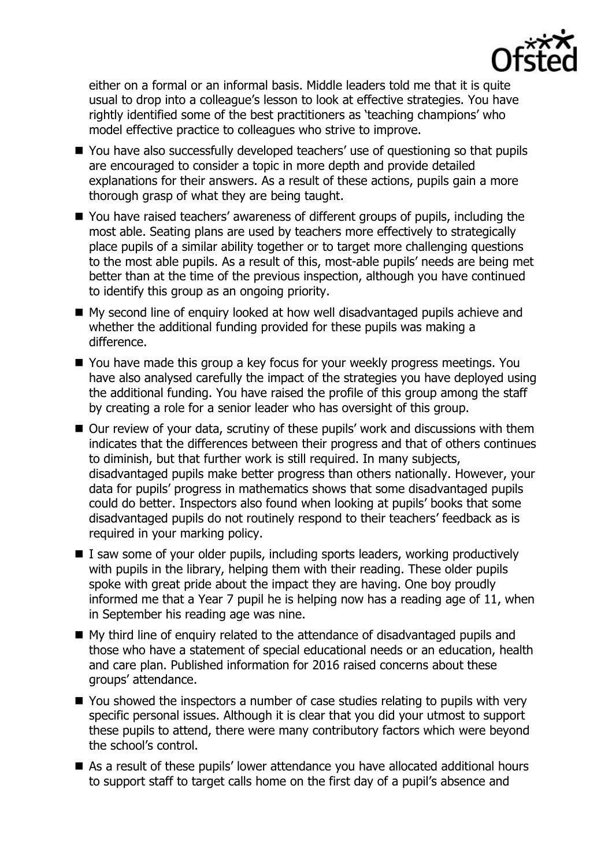

either on a formal or an informal basis. Middle leaders told me that it is quite usual to drop into a colleague's lesson to look at effective strategies. You have rightly identified some of the best practitioners as 'teaching champions' who model effective practice to colleagues who strive to improve.

- You have also successfully developed teachers' use of questioning so that pupils are encouraged to consider a topic in more depth and provide detailed explanations for their answers. As a result of these actions, pupils gain a more thorough grasp of what they are being taught.
- You have raised teachers' awareness of different groups of pupils, including the most able. Seating plans are used by teachers more effectively to strategically place pupils of a similar ability together or to target more challenging questions to the most able pupils. As a result of this, most-able pupils' needs are being met better than at the time of the previous inspection, although you have continued to identify this group as an ongoing priority.
- My second line of enquiry looked at how well disadvantaged pupils achieve and whether the additional funding provided for these pupils was making a difference.
- You have made this group a key focus for your weekly progress meetings. You have also analysed carefully the impact of the strategies you have deployed using the additional funding. You have raised the profile of this group among the staff by creating a role for a senior leader who has oversight of this group.
- Our review of your data, scrutiny of these pupils' work and discussions with them indicates that the differences between their progress and that of others continues to diminish, but that further work is still required. In many subjects, disadvantaged pupils make better progress than others nationally. However, your data for pupils' progress in mathematics shows that some disadvantaged pupils could do better. Inspectors also found when looking at pupils' books that some disadvantaged pupils do not routinely respond to their teachers' feedback as is required in your marking policy.
- $\blacksquare$  I saw some of your older pupils, including sports leaders, working productively with pupils in the library, helping them with their reading. These older pupils spoke with great pride about the impact they are having. One boy proudly informed me that a Year 7 pupil he is helping now has a reading age of 11, when in September his reading age was nine.
- My third line of enquiry related to the attendance of disadvantaged pupils and those who have a statement of special educational needs or an education, health and care plan. Published information for 2016 raised concerns about these groups' attendance.
- You showed the inspectors a number of case studies relating to pupils with very specific personal issues. Although it is clear that you did your utmost to support these pupils to attend, there were many contributory factors which were beyond the school's control.
- As a result of these pupils' lower attendance you have allocated additional hours to support staff to target calls home on the first day of a pupil's absence and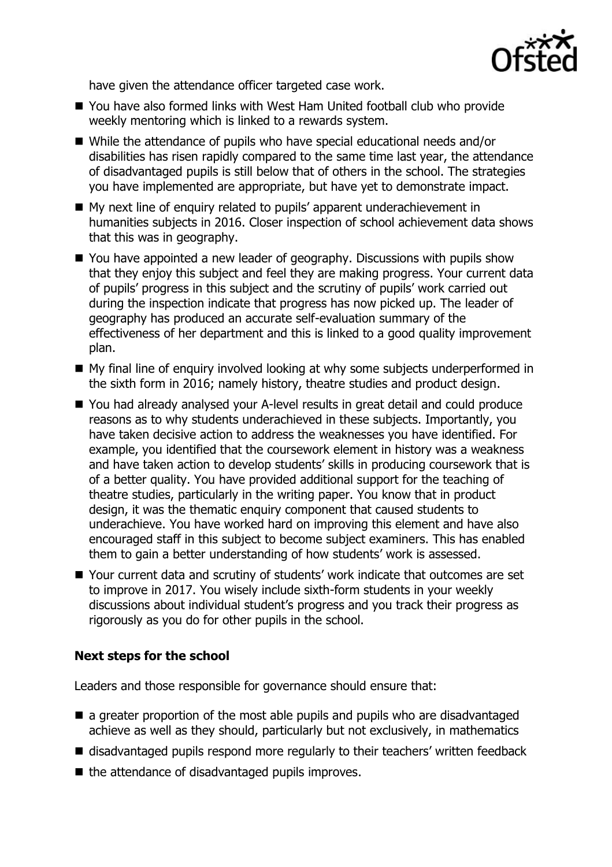

have given the attendance officer targeted case work.

- You have also formed links with West Ham United football club who provide weekly mentoring which is linked to a rewards system.
- While the attendance of pupils who have special educational needs and/or disabilities has risen rapidly compared to the same time last year, the attendance of disadvantaged pupils is still below that of others in the school. The strategies you have implemented are appropriate, but have yet to demonstrate impact.
- My next line of enquiry related to pupils' apparent underachievement in humanities subjects in 2016. Closer inspection of school achievement data shows that this was in geography.
- You have appointed a new leader of geography. Discussions with pupils show that they enjoy this subject and feel they are making progress. Your current data of pupils' progress in this subject and the scrutiny of pupils' work carried out during the inspection indicate that progress has now picked up. The leader of geography has produced an accurate self-evaluation summary of the effectiveness of her department and this is linked to a good quality improvement plan.
- My final line of enquiry involved looking at why some subjects underperformed in the sixth form in 2016; namely history, theatre studies and product design.
- You had already analysed your A-level results in great detail and could produce reasons as to why students underachieved in these subjects. Importantly, you have taken decisive action to address the weaknesses you have identified. For example, you identified that the coursework element in history was a weakness and have taken action to develop students' skills in producing coursework that is of a better quality. You have provided additional support for the teaching of theatre studies, particularly in the writing paper. You know that in product design, it was the thematic enquiry component that caused students to underachieve. You have worked hard on improving this element and have also encouraged staff in this subject to become subject examiners. This has enabled them to gain a better understanding of how students' work is assessed.
- Your current data and scrutiny of students' work indicate that outcomes are set to improve in 2017. You wisely include sixth-form students in your weekly discussions about individual student's progress and you track their progress as rigorously as you do for other pupils in the school.

# **Next steps for the school**

Leaders and those responsible for governance should ensure that:

- **E** a greater proportion of the most able pupils and pupils who are disadvantaged achieve as well as they should, particularly but not exclusively, in mathematics
- disadvantaged pupils respond more regularly to their teachers' written feedback
- $\blacksquare$  the attendance of disadvantaged pupils improves.